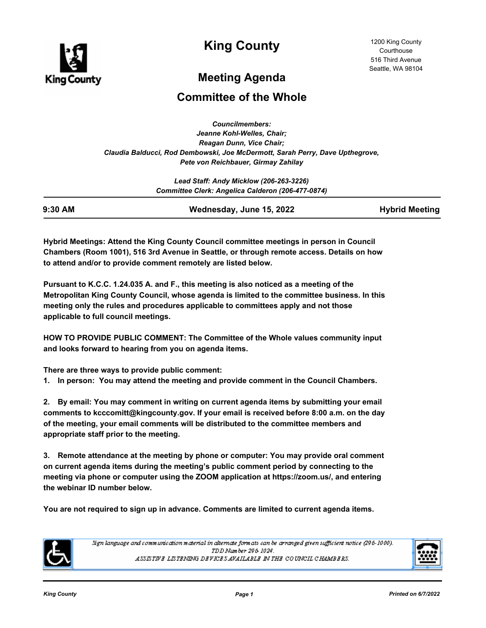

**King County**

# **Meeting Agenda**

## **Committee of the Whole**

*Councilmembers: Jeanne Kohl-Welles, Chair; Reagan Dunn, Vice Chair; Claudia Balducci, Rod Dembowski, Joe McDermott, Sarah Perry, Dave Upthegrove, Pete von Reichbauer, Girmay Zahilay*

> *Lead Staff: Andy Micklow (206-263-3226) Committee Clerk: Angelica Calderon (206-477-0874)*

| 9:30 AM | Wednesday, June 15, 2022 | <b>Hybrid Meeting</b> |
|---------|--------------------------|-----------------------|

**Hybrid Meetings: Attend the King County Council committee meetings in person in Council Chambers (Room 1001), 516 3rd Avenue in Seattle, or through remote access. Details on how to attend and/or to provide comment remotely are listed below.**

**Pursuant to K.C.C. 1.24.035 A. and F., this meeting is also noticed as a meeting of the Metropolitan King County Council, whose agenda is limited to the committee business. In this meeting only the rules and procedures applicable to committees apply and not those applicable to full council meetings.**

**HOW TO PROVIDE PUBLIC COMMENT: The Committee of the Whole values community input and looks forward to hearing from you on agenda items.** 

**There are three ways to provide public comment:**

**1. In person: You may attend the meeting and provide comment in the Council Chambers.**

**2. By email: You may comment in writing on current agenda items by submitting your email comments to kcccomitt@kingcounty.gov. If your email is received before 8:00 a.m. on the day of the meeting, your email comments will be distributed to the committee members and appropriate staff prior to the meeting.** 

**3. Remote attendance at the meeting by phone or computer: You may provide oral comment on current agenda items during the meeting's public comment period by connecting to the meeting via phone or computer using the ZOOM application at https://zoom.us/, and entering the webinar ID number below.**

**You are not required to sign up in advance. Comments are limited to current agenda items.**



Sign language and communication material in alternate formats can be arranged given sufficient notice (296-1000). TDD Number 296-1024. ASSISTIVE LISTENING DEVICES AVAILABLE IN THE COUNCIL CHAMBERS.

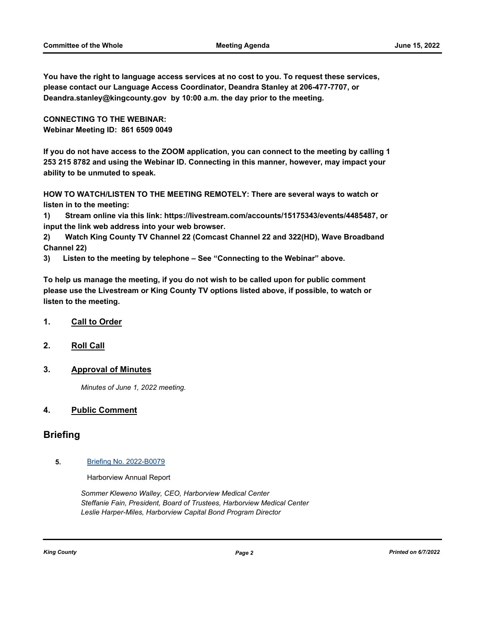**You have the right to language access services at no cost to you. To request these services, please contact our Language Access Coordinator, Deandra Stanley at 206-477-7707, or Deandra.stanley@kingcounty.gov by 10:00 a.m. the day prior to the meeting.**

**CONNECTING TO THE WEBINAR: Webinar Meeting ID: 861 6509 0049**

**If you do not have access to the ZOOM application, you can connect to the meeting by calling 1 253 215 8782 and using the Webinar ID. Connecting in this manner, however, may impact your ability to be unmuted to speak.** 

**HOW TO WATCH/LISTEN TO THE MEETING REMOTELY: There are several ways to watch or listen in to the meeting:**

**1) Stream online via this link: https://livestream.com/accounts/15175343/events/4485487, or input the link web address into your web browser.**

**2) Watch King County TV Channel 22 (Comcast Channel 22 and 322(HD), Wave Broadband Channel 22)**

**3) Listen to the meeting by telephone – See "Connecting to the Webinar" above.**

**To help us manage the meeting, if you do not wish to be called upon for public comment please use the Livestream or King County TV options listed above, if possible, to watch or listen to the meeting.**

#### **1. Call to Order**

**2. Roll Call**

#### **3. Approval of Minutes**

*Minutes of June 1, 2022 meeting.*

#### **4. Public Comment**

### **Briefing**

#### **5.** [Briefing No. 2022-B0079](http://kingcounty.legistar.com/gateway.aspx?m=l&id=/matter.aspx?key=23179)

Harborview Annual Report

*Sommer Kleweno Walley, CEO, Harborview Medical Center Steffanie Fain, President, Board of Trustees, Harborview Medical Center Leslie Harper-Miles, Harborview Capital Bond Program Director*